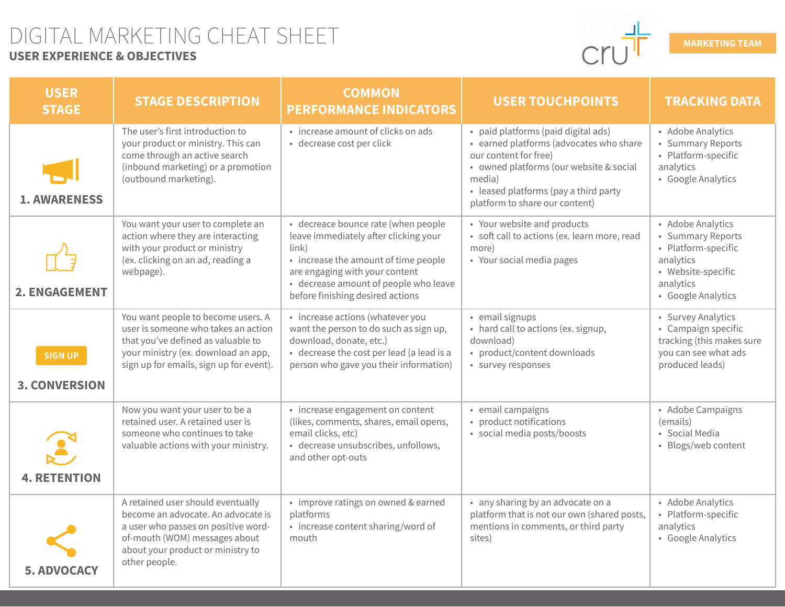## DIGITAL MARKETING CHEAT SHEET **WARKETING TEAM**<br>
WIRE EXPERIENCE & OBJECTIVES **USER EXPERIENCE & OBJECTIVES**



| <b>USER</b><br><b>STAGE</b>            | <b>STAGE DESCRIPTION</b>                                                                                                                                                                              | <b>COMMON</b><br><b>PERFORMANCE INDICATORS</b>                                                                                                                                                                                               | <b>USER TOUCHPOINTS</b>                                                                                                                                                                                                                 | <b>TRACKING DATA</b>                                                                                                                |
|----------------------------------------|-------------------------------------------------------------------------------------------------------------------------------------------------------------------------------------------------------|----------------------------------------------------------------------------------------------------------------------------------------------------------------------------------------------------------------------------------------------|-----------------------------------------------------------------------------------------------------------------------------------------------------------------------------------------------------------------------------------------|-------------------------------------------------------------------------------------------------------------------------------------|
| <b>1. AWARENESS</b>                    | The user's first introduction to<br>your product or ministry. This can<br>come through an active search<br>(inbound marketing) or a promotion<br>(outbound marketing).                                | · increase amount of clicks on ads<br>· decrease cost per click                                                                                                                                                                              | · paid platforms (paid digital ads)<br>• earned platforms (advocates who share<br>our content for free)<br>• owned platforms (our website & social<br>media)<br>• leased platforms (pay a third party<br>platform to share our content) | • Adobe Analytics<br>• Summary Reports<br>• Platform-specific<br>analytics<br>• Google Analytics                                    |
| 2. ENGAGEMENT                          | You want your user to complete an<br>action where they are interacting<br>with your product or ministry<br>(ex. clicking on an ad, reading a<br>webpage).                                             | • decreace bounce rate (when people<br>leave immediately after clicking your<br>link)<br>• increase the amount of time people<br>are engaging with your content<br>• decrease amount of people who leave<br>before finishing desired actions | • Your website and products<br>· soft call to actions (ex. learn more, read<br>more)<br>• Your social media pages                                                                                                                       | • Adobe Analytics<br>• Summary Reports<br>• Platform-specific<br>analytics<br>• Website-specific<br>analytics<br>· Google Analytics |
| <b>SIGN UP</b><br><b>3. CONVERSION</b> | You want people to become users. A<br>user is someone who takes an action<br>that you've defined as valuable to<br>your ministry (ex. download an app,<br>sign up for emails, sign up for event).     | • increase actions (whatever you<br>want the person to do such as sign up,<br>download, donate, etc.)<br>• decrease the cost per lead (a lead is a<br>person who gave you their information)                                                 | · email signups<br>• hard call to actions (ex. signup,<br>download)<br>· product/content downloads<br>· survey responses                                                                                                                | • Survey Analytics<br>• Campaign specific<br>tracking (this makes sure<br>you can see what ads<br>produced leads)                   |
| <b>4. RETENTION</b>                    | Now you want your user to be a<br>retained user. A retained user is<br>someone who continues to take<br>valuable actions with your ministry.                                                          | • increase engagement on content<br>(likes, comments, shares, email opens,<br>email clicks, etc)<br>· decrease unsubscribes, unfollows,<br>and other opt-outs                                                                                | • email campaigns<br>• product notifications<br>· social media posts/boosts                                                                                                                                                             | • Adobe Campaigns<br>(emails)<br>· Social Media<br>· Blogs/web content                                                              |
| <b>5. ADVOCACY</b>                     | A retained user should eventually<br>become an advocate. An advocate is<br>a user who passes on positive word-<br>of-mouth (WOM) messages about<br>about your product or ministry to<br>other people. | • improve ratings on owned & earned<br>platforms<br>• increase content sharing/word of<br>mouth                                                                                                                                              | • any sharing by an advocate on a<br>platform that is not our own (shared posts,<br>mentions in comments, or third party<br>sites)                                                                                                      | • Adobe Analytics<br>• Platform-specific<br>analytics<br>· Google Analytics                                                         |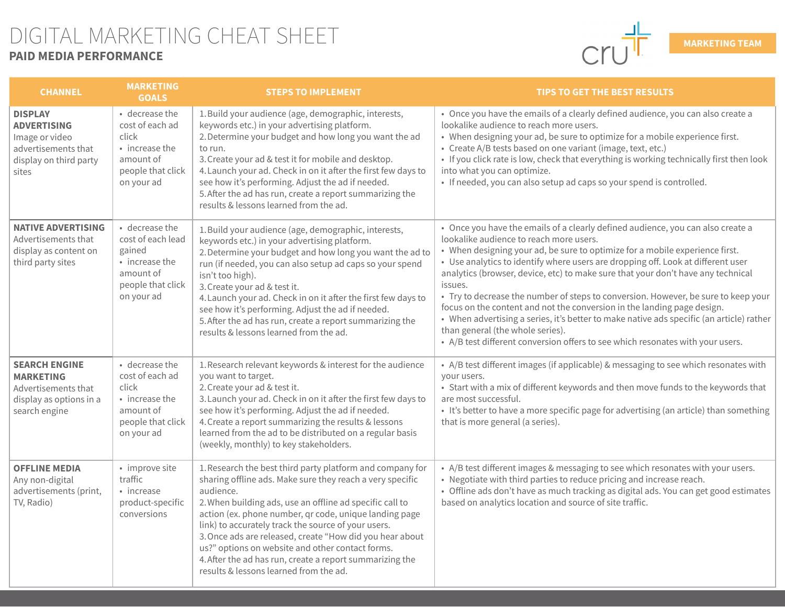## DIGITAL MARKETING CHEAT SHEET **WARKETING TEAM PAID MEDIA PERFORMANCE**



| <b>CHANNEL</b>                                                                                                   | <b>MARKETING</b><br><b>GOALS</b>                                                                                | <b>STEPS TO IMPLEMENT</b>                                                                                                                                                                                                                                                                                                                                                                                                                                                                                                              | <b>TIPS TO GET THE BEST RESULTS</b>                                                                                                                                                                                                                                                                                                                                                                                                                                                                                                                                                                                                                                                                                                                                              |
|------------------------------------------------------------------------------------------------------------------|-----------------------------------------------------------------------------------------------------------------|----------------------------------------------------------------------------------------------------------------------------------------------------------------------------------------------------------------------------------------------------------------------------------------------------------------------------------------------------------------------------------------------------------------------------------------------------------------------------------------------------------------------------------------|----------------------------------------------------------------------------------------------------------------------------------------------------------------------------------------------------------------------------------------------------------------------------------------------------------------------------------------------------------------------------------------------------------------------------------------------------------------------------------------------------------------------------------------------------------------------------------------------------------------------------------------------------------------------------------------------------------------------------------------------------------------------------------|
| <b>DISPLAY</b><br><b>ADVERTISING</b><br>Image or video<br>advertisements that<br>display on third party<br>sites | • decrease the<br>cost of each ad<br>click<br>• increase the<br>amount of<br>people that click<br>on your ad    | 1. Build your audience (age, demographic, interests,<br>keywords etc.) in your advertising platform.<br>2. Determine your budget and how long you want the ad<br>to run.<br>3. Create your ad & test it for mobile and desktop.<br>4. Launch your ad. Check in on it after the first few days to<br>see how it's performing. Adjust the ad if needed.<br>5. After the ad has run, create a report summarizing the<br>results & lessons learned from the ad.                                                                            | • Once you have the emails of a clearly defined audience, you can also create a<br>lookalike audience to reach more users.<br>• When designing your ad, be sure to optimize for a mobile experience first.<br>• Create A/B tests based on one variant (image, text, etc.)<br>• If you click rate is low, check that everything is working technically first then look<br>into what you can optimize.<br>• If needed, you can also setup ad caps so your spend is controlled.                                                                                                                                                                                                                                                                                                     |
| <b>NATIVE ADVERTISING</b><br>Advertisements that<br>display as content on<br>third party sites                   | • decrease the<br>cost of each lead<br>gained<br>• increase the<br>amount of<br>people that click<br>on your ad | 1. Build your audience (age, demographic, interests,<br>keywords etc.) in your advertising platform.<br>2. Determine your budget and how long you want the ad to<br>run (if needed, you can also setup ad caps so your spend<br>isn't too high).<br>3. Create your ad & test it.<br>4. Launch your ad. Check in on it after the first few days to<br>see how it's performing. Adjust the ad if needed.<br>5. After the ad has run, create a report summarizing the<br>results & lessons learned from the ad.                           | • Once you have the emails of a clearly defined audience, you can also create a<br>lookalike audience to reach more users.<br>• When designing your ad, be sure to optimize for a mobile experience first.<br>• Use analytics to identify where users are dropping off. Look at different user<br>analytics (browser, device, etc) to make sure that your don't have any technical<br>issues.<br>• Try to decrease the number of steps to conversion. However, be sure to keep your<br>focus on the content and not the conversion in the landing page design.<br>• When advertising a series, it's better to make native ads specific (an article) rather<br>than general (the whole series).<br>• A/B test different conversion offers to see which resonates with your users. |
| <b>SEARCH ENGINE</b><br><b>MARKETING</b><br>Advertisements that<br>display as options in a<br>search engine      | • decrease the<br>cost of each ad<br>click<br>• increase the<br>amount of<br>people that click<br>on your ad    | 1. Research relevant keywords & interest for the audience<br>you want to target.<br>2. Create your ad & test it.<br>3. Launch your ad. Check in on it after the first few days to<br>see how it's performing. Adjust the ad if needed.<br>4. Create a report summarizing the results & lessons<br>learned from the ad to be distributed on a regular basis<br>(weekly, monthly) to key stakeholders.                                                                                                                                   | • A/B test different images (if applicable) & messaging to see which resonates with<br>vour users.<br>• Start with a mix of different keywords and then move funds to the keywords that<br>are most successful.<br>• It's better to have a more specific page for advertising (an article) than something<br>that is more general (a series).                                                                                                                                                                                                                                                                                                                                                                                                                                    |
| <b>OFFLINE MEDIA</b><br>Any non-digital<br>advertisements (print,<br>TV, Radio)                                  | • improve site<br>traffic<br>$\cdot$ increase<br>product-specific<br>conversions                                | 1. Research the best third party platform and company for<br>sharing offline ads. Make sure they reach a very specific<br>audience.<br>2. When building ads, use an offline ad specific call to<br>action (ex. phone number, qr code, unique landing page<br>link) to accurately track the source of your users.<br>3. Once ads are released, create "How did you hear about<br>us?" options on website and other contact forms.<br>4. After the ad has run, create a report summarizing the<br>results & lessons learned from the ad. | • A/B test different images & messaging to see which resonates with your users.<br>• Negotiate with third parties to reduce pricing and increase reach.<br>• Offline ads don't have as much tracking as digital ads. You can get good estimates<br>based on analytics location and source of site traffic.                                                                                                                                                                                                                                                                                                                                                                                                                                                                       |